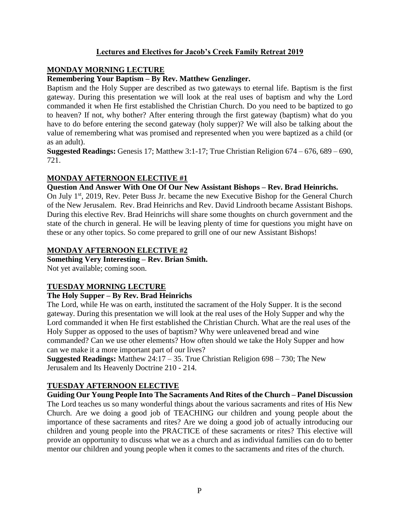# **Lectures and Electives for Jacob's Creek Family Retreat 2019**

# **MONDAY MORNING LECTURE**

### **Remembering Your Baptism – By Rev. Matthew Genzlinger.**

Baptism and the Holy Supper are described as two gateways to eternal life. Baptism is the first gateway. During this presentation we will look at the real uses of baptism and why the Lord commanded it when He first established the Christian Church. Do you need to be baptized to go to heaven? If not, why bother? After entering through the first gateway (baptism) what do you have to do before entering the second gateway (holy supper)? We will also be talking about the value of remembering what was promised and represented when you were baptized as a child (or as an adult).

**Suggested Readings:** Genesis 17; Matthew 3:1-17; True Christian Religion 674 – 676, 689 – 690, 721.

# **MONDAY AFTERNOON ELECTIVE #1**

#### **Question And Answer With One Of Our New Assistant Bishops – Rev. Brad Heinrichs.**

On July 1<sup>st</sup>, 2019, Rev. Peter Buss Jr. became the new Executive Bishop for the General Church of the New Jerusalem. Rev. Brad Heinrichs and Rev. David Lindrooth became Assistant Bishops. During this elective Rev. Brad Heinrichs will share some thoughts on church government and the state of the church in general. He will be leaving plenty of time for questions you might have on these or any other topics. So come prepared to grill one of our new Assistant Bishops!

#### **MONDAY AFTERNOON ELECTIVE #2**

### **Something Very Interesting – Rev. Brian Smith.**

Not yet available; coming soon.

# **TUESDAY MORNING LECTURE**

#### **The Holy Supper – By Rev. Brad Heinrichs**

The Lord, while He was on earth, instituted the sacrament of the Holy Supper. It is the second gateway. During this presentation we will look at the real uses of the Holy Supper and why the Lord commanded it when He first established the Christian Church. What are the real uses of the Holy Supper as opposed to the uses of baptism? Why were unleavened bread and wine commanded? Can we use other elements? How often should we take the Holy Supper and how can we make it a more important part of our lives?

**Suggested Readings:** Matthew 24:17 – 35. True Christian Religion 698 – 730; The New Jerusalem and Its Heavenly Doctrine 210 - 214.

# **TUESDAY AFTERNOON ELECTIVE**

**Guiding Our Young People Into The Sacraments And Rites of the Church – Panel Discussion** The Lord teaches us so many wonderful things about the various sacraments and rites of His New Church. Are we doing a good job of TEACHING our children and young people about the importance of these sacraments and rites? Are we doing a good job of actually introducing our children and young people into the PRACTICE of these sacraments or rites? This elective will provide an opportunity to discuss what we as a church and as individual families can do to better mentor our children and young people when it comes to the sacraments and rites of the church.